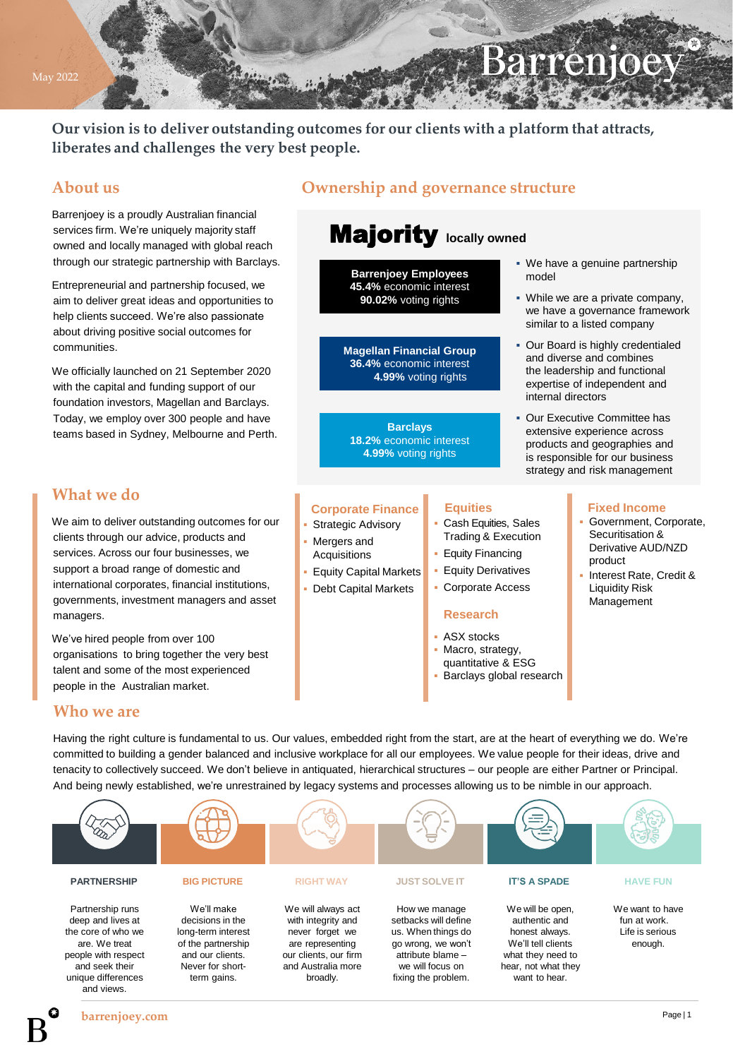# Barrenjoe

• We have a genuine partnership

▪ While we are a private company, we have a governance framework similar to a listed company ▪ Our Board is highly credentialed and diverse and combines the leadership and functional expertise of independent and

Our Executive Committee has extensive experience across products and geographies and is responsible for our business strategy and risk management

model

internal directors

**Our vision is to deliver outstanding outcomes for our clients with a platform that attracts, liberates and challenges the very best people.**

## **About us**

Barrenjoey is a proudly Australian financial services firm. We're uniquely majority staff owned and locally managed with global reach through our strategic partnership with Barclays.

Entrepreneurial and partnership focused, we aim to deliver great ideas and opportunities to help clients succeed. We're also passionate about driving positive social outcomes for communities.

We officially launched on 21 September 2020 with the capital and funding support of our foundation investors, Magellan and Barclays. Today, we employ over 300 people and have teams based in Sydney, Melbourne and Perth.

### **What we do**

We aim to deliver outstanding outcomes for our clients through our advice, products and services. Across our four businesses, we support a broad range of domestic and international corporates, financial institutions, governments, investment managers and asset managers.

We've hired people from over 100 organisations to bring together the very best talent and some of the most experienced people in the Australian market.

## **Ownership and governance structure**

# Majority **locally owned**

**Barrenjoey Employees 45.4%** economic interest **90.02%** voting rights

**Magellan Financial Group 36.4%** economic interest **4.99%** voting rights

**Barclays 18.2%** economic interest **4.99%** voting rights

#### **Corporate Finance**

- Strategic Advisory Mergers and
- Acquisitions
- **Equity Capital Markets**
- Debt Capital Markets

#### **Equities**

- Cash Equities, Sales Trading & Execution
- **Equity Financing**
- **Equity Derivatives**
- Corporate Access

#### **Research**

- **ASX** stocks
- Macro, strategy,
- quantitative & ESG
- Barclays global research
- Government, Corporate, Securitisation & Derivative AUD/NZD product

**Fixed Income**

Interest Rate, Credit & Liquidity Risk Management

#### **Who we are**

Having the right culture is fundamental to us. Our values, embedded right from the start, are at the heart of everything we do. We're committed to building a gender balanced and inclusive workplace for all our employees. We value people for their ideas, drive and tenacity to collectively succeed. We don't believe in antiquated, hierarchical structures – our people are either Partner or Principal. And being newly established, we're unrestrained by legacy systems and processes allowing us to be nimble in our approach.



May 2022